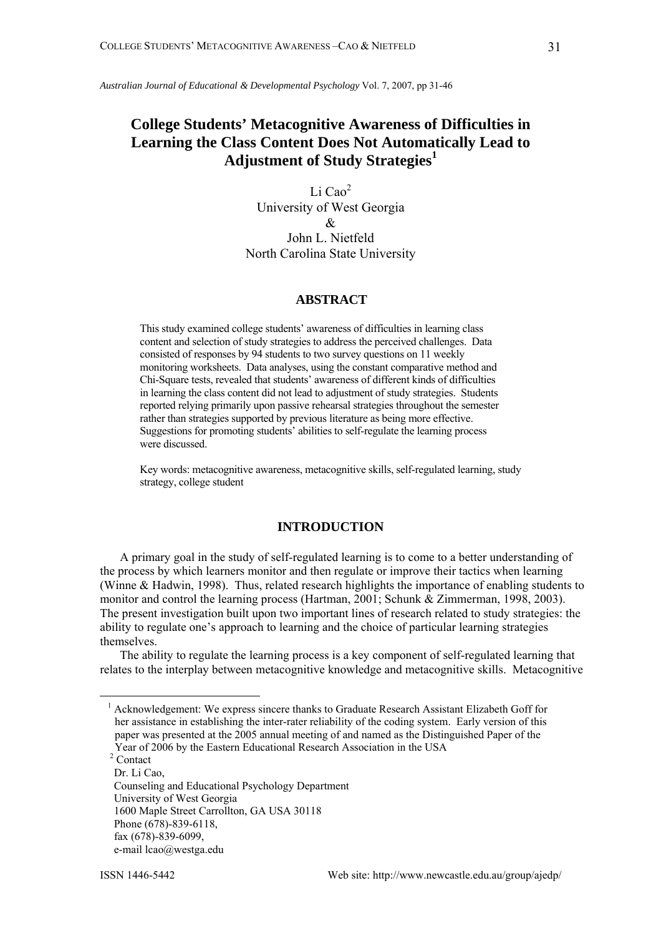*Australian Journal of Educational & Developmental Psychology* Vol. 7, 2007, pp 31-46

# **College Students' Metacognitive Awareness of Difficulties in Learning the Class Content Does Not Automatically Lead to Adjustment of Study Strategies<sup>1</sup>**

Li Cao<sup>2</sup> University of West Georgia & John L. Nietfeld North Carolina State University

## **ABSTRACT**

This study examined college students' awareness of difficulties in learning class content and selection of study strategies to address the perceived challenges. Data consisted of responses by 94 students to two survey questions on 11 weekly monitoring worksheets. Data analyses, using the constant comparative method and Chi-Square tests, revealed that students' awareness of different kinds of difficulties in learning the class content did not lead to adjustment of study strategies. Students reported relying primarily upon passive rehearsal strategies throughout the semester rather than strategies supported by previous literature as being more effective. Suggestions for promoting students' abilities to self-regulate the learning process were discussed.

Key words: metacognitive awareness, metacognitive skills, self-regulated learning, study strategy, college student

### **INTRODUCTION**

A primary goal in the study of self-regulated learning is to come to a better understanding of the process by which learners monitor and then regulate or improve their tactics when learning (Winne & Hadwin, 1998). Thus, related research highlights the importance of enabling students to monitor and control the learning process (Hartman, 2001; Schunk & Zimmerman, 1998, 2003). The present investigation built upon two important lines of research related to study strategies: the ability to regulate one's approach to learning and the choice of particular learning strategies themselves.

The ability to regulate the learning process is a key component of self-regulated learning that relates to the interplay between metacognitive knowledge and metacognitive skills. Metacognitive

 $2$  Contact

 $\overline{a}$ 

<sup>&</sup>lt;sup>1</sup> Acknowledgement: We express sincere thanks to Graduate Research Assistant Elizabeth Goff for her assistance in establishing the inter-rater reliability of the coding system. Early version of this paper was presented at the 2005 annual meeting of and named as the Distinguished Paper of the Year of 2006 by the Eastern Educational Research Association in the USA 2

Dr. Li Cao, Counseling and Educational Psychology Department University of West Georgia 1600 Maple Street Carrollton, GA USA 30118 Phone (678)-839-6118, fax (678)-839-6099, e-mail lcao@westga.edu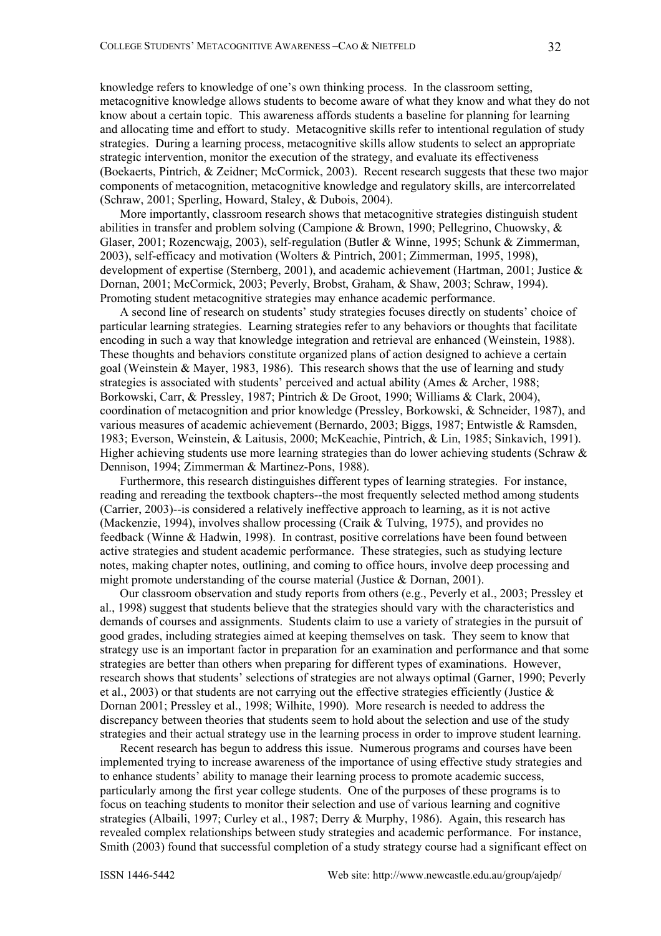knowledge refers to knowledge of one's own thinking process. In the classroom setting, metacognitive knowledge allows students to become aware of what they know and what they do not know about a certain topic. This awareness affords students a baseline for planning for learning and allocating time and effort to study. Metacognitive skills refer to intentional regulation of study strategies. During a learning process, metacognitive skills allow students to select an appropriate strategic intervention, monitor the execution of the strategy, and evaluate its effectiveness (Boekaerts, Pintrich, & Zeidner; McCormick, 2003). Recent research suggests that these two major components of metacognition, metacognitive knowledge and regulatory skills, are intercorrelated (Schraw, 2001; Sperling, Howard, Staley, & Dubois, 2004).

More importantly, classroom research shows that metacognitive strategies distinguish student abilities in transfer and problem solving (Campione & Brown, 1990; Pellegrino, Chuowsky, & Glaser, 2001; Rozencwajg, 2003), self-regulation (Butler & Winne, 1995; Schunk & Zimmerman, 2003), self-efficacy and motivation (Wolters & Pintrich, 2001; Zimmerman, 1995, 1998), development of expertise (Sternberg, 2001), and academic achievement (Hartman, 2001; Justice & Dornan, 2001; McCormick, 2003; Peverly, Brobst, Graham, & Shaw, 2003; Schraw, 1994). Promoting student metacognitive strategies may enhance academic performance.

A second line of research on students' study strategies focuses directly on students' choice of particular learning strategies. Learning strategies refer to any behaviors or thoughts that facilitate encoding in such a way that knowledge integration and retrieval are enhanced (Weinstein, 1988). These thoughts and behaviors constitute organized plans of action designed to achieve a certain goal (Weinstein & Mayer, 1983, 1986). This research shows that the use of learning and study strategies is associated with students' perceived and actual ability (Ames & Archer, 1988; Borkowski, Carr, & Pressley, 1987; Pintrich & De Groot, 1990; Williams & Clark, 2004), coordination of metacognition and prior knowledge (Pressley, Borkowski, & Schneider, 1987), and various measures of academic achievement (Bernardo, 2003; Biggs, 1987; Entwistle & Ramsden, 1983; Everson, Weinstein, & Laitusis, 2000; McKeachie, Pintrich, & Lin, 1985; Sinkavich, 1991). Higher achieving students use more learning strategies than do lower achieving students (Schraw & Dennison, 1994; Zimmerman & Martinez-Pons, 1988).

Furthermore, this research distinguishes different types of learning strategies. For instance, reading and rereading the textbook chapters--the most frequently selected method among students (Carrier, 2003)--is considered a relatively ineffective approach to learning, as it is not active (Mackenzie, 1994), involves shallow processing (Craik & Tulving, 1975), and provides no feedback (Winne & Hadwin, 1998). In contrast, positive correlations have been found between active strategies and student academic performance. These strategies, such as studying lecture notes, making chapter notes, outlining, and coming to office hours, involve deep processing and might promote understanding of the course material (Justice & Dornan, 2001).

Our classroom observation and study reports from others (e.g., Peverly et al., 2003; Pressley et al., 1998) suggest that students believe that the strategies should vary with the characteristics and demands of courses and assignments. Students claim to use a variety of strategies in the pursuit of good grades, including strategies aimed at keeping themselves on task. They seem to know that strategy use is an important factor in preparation for an examination and performance and that some strategies are better than others when preparing for different types of examinations. However, research shows that students' selections of strategies are not always optimal (Garner, 1990; Peverly et al., 2003) or that students are not carrying out the effective strategies efficiently (Justice  $\&$ Dornan 2001; Pressley et al., 1998; Wilhite, 1990). More research is needed to address the discrepancy between theories that students seem to hold about the selection and use of the study strategies and their actual strategy use in the learning process in order to improve student learning.

Recent research has begun to address this issue. Numerous programs and courses have been implemented trying to increase awareness of the importance of using effective study strategies and to enhance students' ability to manage their learning process to promote academic success, particularly among the first year college students. One of the purposes of these programs is to focus on teaching students to monitor their selection and use of various learning and cognitive strategies (Albaili, 1997; Curley et al., 1987; Derry & Murphy, 1986). Again, this research has revealed complex relationships between study strategies and academic performance. For instance, Smith (2003) found that successful completion of a study strategy course had a significant effect on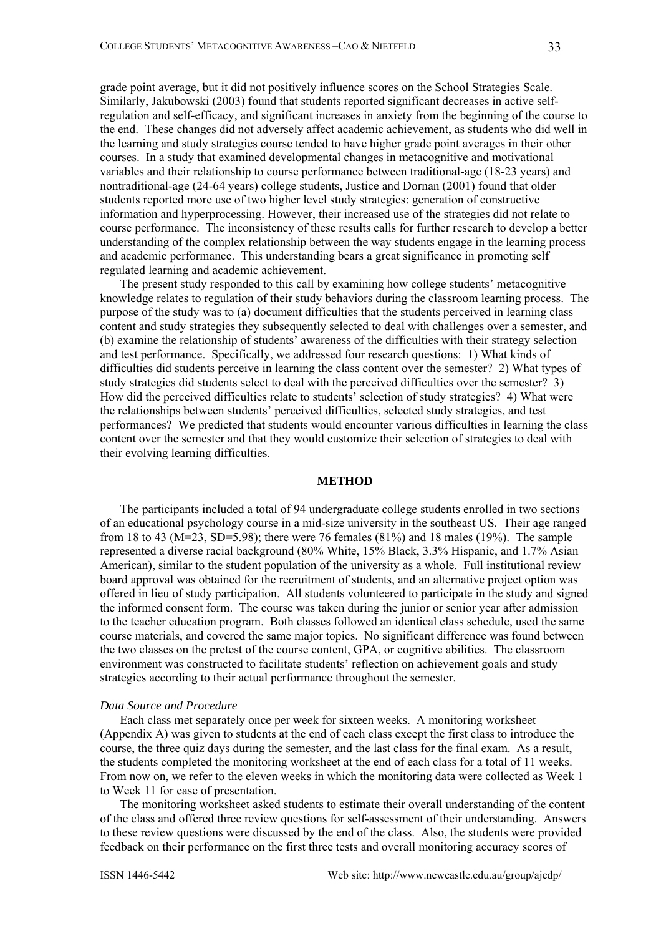grade point average, but it did not positively influence scores on the School Strategies Scale. Similarly, Jakubowski (2003) found that students reported significant decreases in active selfregulation and self-efficacy, and significant increases in anxiety from the beginning of the course to the end. These changes did not adversely affect academic achievement, as students who did well in the learning and study strategies course tended to have higher grade point averages in their other courses. In a study that examined developmental changes in metacognitive and motivational variables and their relationship to course performance between traditional-age (18-23 years) and nontraditional-age (24-64 years) college students, Justice and Dornan (2001) found that older students reported more use of two higher level study strategies: generation of constructive information and hyperprocessing. However, their increased use of the strategies did not relate to course performance. The inconsistency of these results calls for further research to develop a better understanding of the complex relationship between the way students engage in the learning process and academic performance. This understanding bears a great significance in promoting self regulated learning and academic achievement.

The present study responded to this call by examining how college students' metacognitive knowledge relates to regulation of their study behaviors during the classroom learning process. The purpose of the study was to (a) document difficulties that the students perceived in learning class content and study strategies they subsequently selected to deal with challenges over a semester, and (b) examine the relationship of students' awareness of the difficulties with their strategy selection and test performance. Specifically, we addressed four research questions: 1) What kinds of difficulties did students perceive in learning the class content over the semester? 2) What types of study strategies did students select to deal with the perceived difficulties over the semester? 3) How did the perceived difficulties relate to students' selection of study strategies? 4) What were the relationships between students' perceived difficulties, selected study strategies, and test performances? We predicted that students would encounter various difficulties in learning the class content over the semester and that they would customize their selection of strategies to deal with their evolving learning difficulties.

### **METHOD**

The participants included a total of 94 undergraduate college students enrolled in two sections of an educational psychology course in a mid-size university in the southeast US. Their age ranged from 18 to 43 (M=23, SD=5.98); there were 76 females (81%) and 18 males (19%). The sample represented a diverse racial background (80% White, 15% Black, 3.3% Hispanic, and 1.7% Asian American), similar to the student population of the university as a whole. Full institutional review board approval was obtained for the recruitment of students, and an alternative project option was offered in lieu of study participation. All students volunteered to participate in the study and signed the informed consent form. The course was taken during the junior or senior year after admission to the teacher education program. Both classes followed an identical class schedule, used the same course materials, and covered the same major topics. No significant difference was found between the two classes on the pretest of the course content, GPA, or cognitive abilities. The classroom environment was constructed to facilitate students' reflection on achievement goals and study strategies according to their actual performance throughout the semester.

#### *Data Source and Procedure*

Each class met separately once per week for sixteen weeks. A monitoring worksheet (Appendix A) was given to students at the end of each class except the first class to introduce the course, the three quiz days during the semester, and the last class for the final exam. As a result, the students completed the monitoring worksheet at the end of each class for a total of 11 weeks. From now on, we refer to the eleven weeks in which the monitoring data were collected as Week 1 to Week 11 for ease of presentation.

The monitoring worksheet asked students to estimate their overall understanding of the content of the class and offered three review questions for self-assessment of their understanding. Answers to these review questions were discussed by the end of the class. Also, the students were provided feedback on their performance on the first three tests and overall monitoring accuracy scores of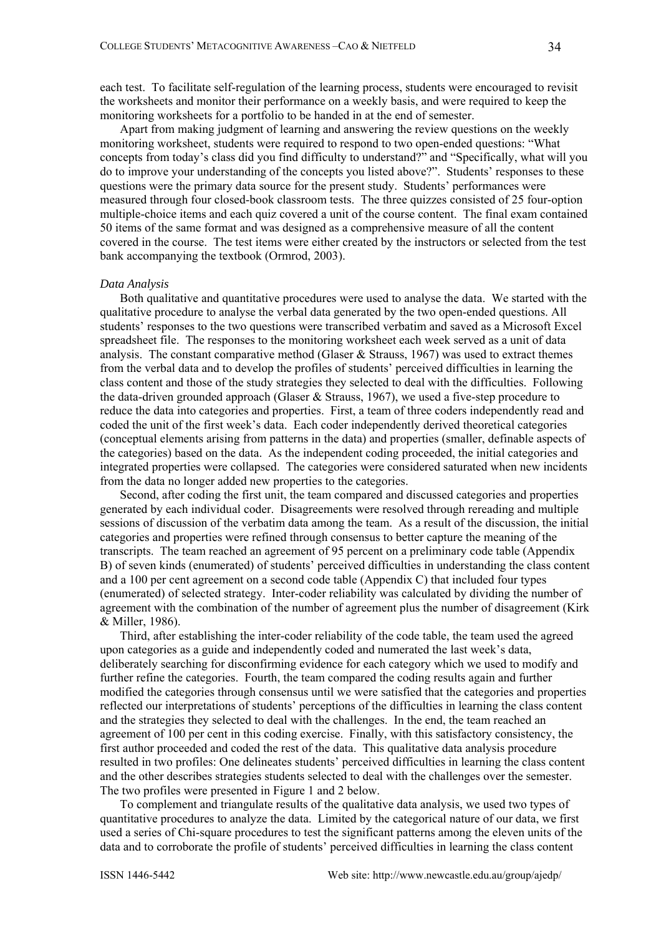each test. To facilitate self-regulation of the learning process, students were encouraged to revisit the worksheets and monitor their performance on a weekly basis, and were required to keep the monitoring worksheets for a portfolio to be handed in at the end of semester.

Apart from making judgment of learning and answering the review questions on the weekly monitoring worksheet, students were required to respond to two open-ended questions: "What concepts from today's class did you find difficulty to understand?" and "Specifically, what will you do to improve your understanding of the concepts you listed above?". Students' responses to these questions were the primary data source for the present study. Students' performances were measured through four closed-book classroom tests. The three quizzes consisted of 25 four-option multiple-choice items and each quiz covered a unit of the course content. The final exam contained 50 items of the same format and was designed as a comprehensive measure of all the content covered in the course. The test items were either created by the instructors or selected from the test bank accompanying the textbook (Ormrod, 2003).

#### *Data Analysis*

Both qualitative and quantitative procedures were used to analyse the data. We started with the qualitative procedure to analyse the verbal data generated by the two open-ended questions. All students' responses to the two questions were transcribed verbatim and saved as a Microsoft Excel spreadsheet file. The responses to the monitoring worksheet each week served as a unit of data analysis. The constant comparative method (Glaser  $\&$  Strauss, 1967) was used to extract themes from the verbal data and to develop the profiles of students' perceived difficulties in learning the class content and those of the study strategies they selected to deal with the difficulties. Following the data-driven grounded approach (Glaser & Strauss, 1967), we used a five-step procedure to reduce the data into categories and properties. First, a team of three coders independently read and coded the unit of the first week's data. Each coder independently derived theoretical categories (conceptual elements arising from patterns in the data) and properties (smaller, definable aspects of the categories) based on the data. As the independent coding proceeded, the initial categories and integrated properties were collapsed. The categories were considered saturated when new incidents from the data no longer added new properties to the categories.

Second, after coding the first unit, the team compared and discussed categories and properties generated by each individual coder. Disagreements were resolved through rereading and multiple sessions of discussion of the verbatim data among the team. As a result of the discussion, the initial categories and properties were refined through consensus to better capture the meaning of the transcripts. The team reached an agreement of 95 percent on a preliminary code table (Appendix B) of seven kinds (enumerated) of students' perceived difficulties in understanding the class content and a 100 per cent agreement on a second code table (Appendix C) that included four types (enumerated) of selected strategy. Inter-coder reliability was calculated by dividing the number of agreement with the combination of the number of agreement plus the number of disagreement (Kirk & Miller, 1986).

Third, after establishing the inter-coder reliability of the code table, the team used the agreed upon categories as a guide and independently coded and numerated the last week's data, deliberately searching for disconfirming evidence for each category which we used to modify and further refine the categories. Fourth, the team compared the coding results again and further modified the categories through consensus until we were satisfied that the categories and properties reflected our interpretations of students' perceptions of the difficulties in learning the class content and the strategies they selected to deal with the challenges. In the end, the team reached an agreement of 100 per cent in this coding exercise. Finally, with this satisfactory consistency, the first author proceeded and coded the rest of the data. This qualitative data analysis procedure resulted in two profiles: One delineates students' perceived difficulties in learning the class content and the other describes strategies students selected to deal with the challenges over the semester. The two profiles were presented in Figure 1 and 2 below.

To complement and triangulate results of the qualitative data analysis, we used two types of quantitative procedures to analyze the data. Limited by the categorical nature of our data, we first used a series of Chi-square procedures to test the significant patterns among the eleven units of the data and to corroborate the profile of students' perceived difficulties in learning the class content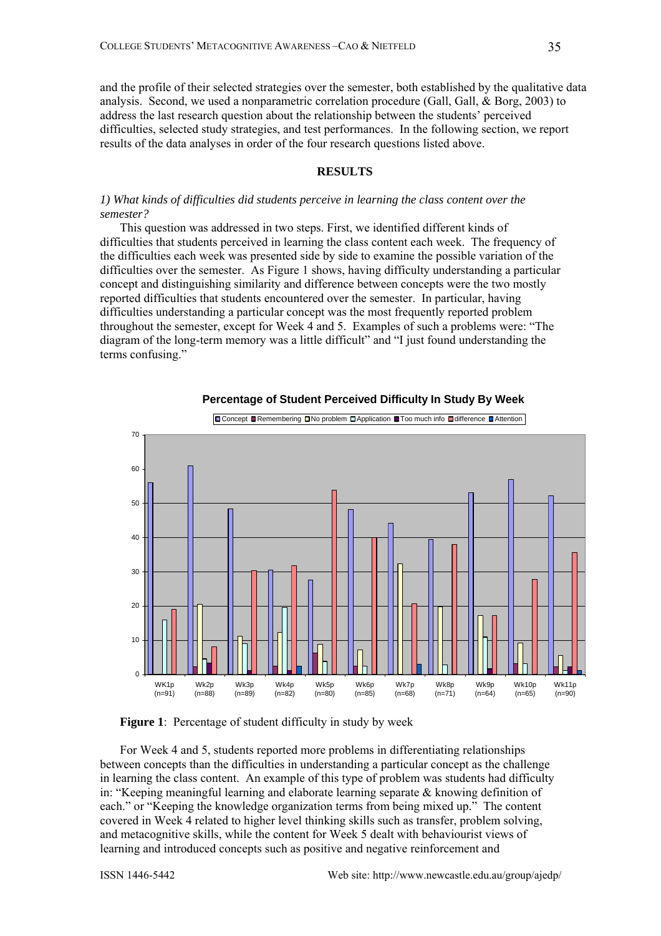and the profile of their selected strategies over the semester, both established by the qualitative data analysis. Second, we used a nonparametric correlation procedure (Gall, Gall, & Borg, 2003) to address the last research question about the relationship between the students' perceived difficulties, selected study strategies, and test performances. In the following section, we report results of the data analyses in order of the four research questions listed above.

#### **RESULTS**

### *1) What kinds of difficulties did students perceive in learning the class content over the semester?*

This question was addressed in two steps. First, we identified different kinds of difficulties that students perceived in learning the class content each week. The frequency of the difficulties each week was presented side by side to examine the possible variation of the difficulties over the semester. As Figure 1 shows, having difficulty understanding a particular concept and distinguishing similarity and difference between concepts were the two mostly reported difficulties that students encountered over the semester. In particular, having difficulties understanding a particular concept was the most frequently reported problem throughout the semester, except for Week 4 and 5. Examples of such a problems were: "The diagram of the long-term memory was a little difficult" and "I just found understanding the terms confusing."



#### **Percentage of Student Perceived Difficulty In Study By Week**

### **Figure 1**: Percentage of student difficulty in study by week

For Week 4 and 5, students reported more problems in differentiating relationships between concepts than the difficulties in understanding a particular concept as the challenge in learning the class content. An example of this type of problem was students had difficulty in: "Keeping meaningful learning and elaborate learning separate & knowing definition of each." or "Keeping the knowledge organization terms from being mixed up." The content covered in Week 4 related to higher level thinking skills such as transfer, problem solving, and metacognitive skills, while the content for Week 5 dealt with behaviourist views of learning and introduced concepts such as positive and negative reinforcement and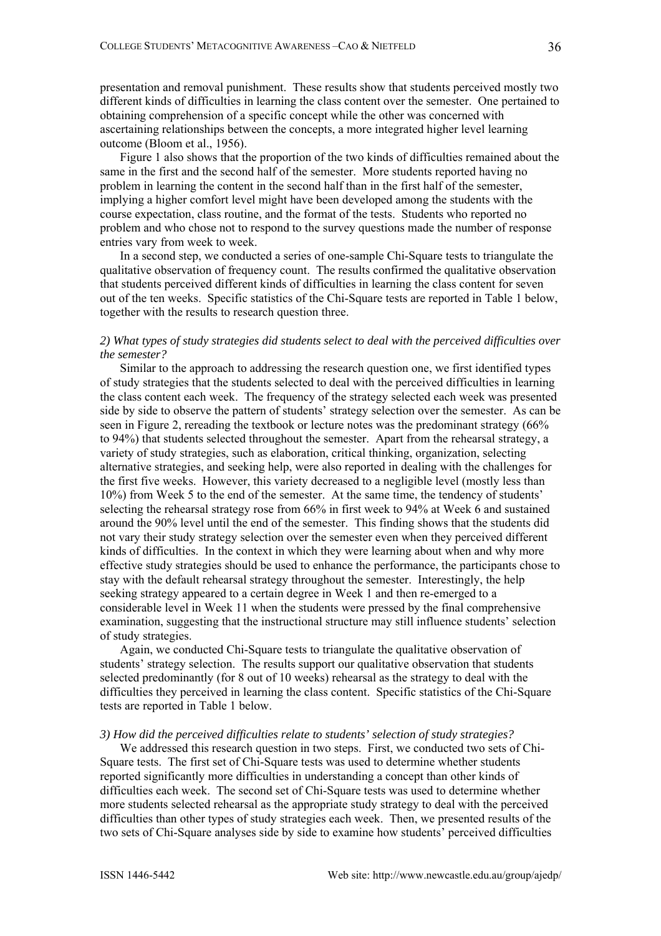presentation and removal punishment. These results show that students perceived mostly two different kinds of difficulties in learning the class content over the semester. One pertained to obtaining comprehension of a specific concept while the other was concerned with ascertaining relationships between the concepts, a more integrated higher level learning outcome (Bloom et al., 1956).

Figure 1 also shows that the proportion of the two kinds of difficulties remained about the same in the first and the second half of the semester. More students reported having no problem in learning the content in the second half than in the first half of the semester, implying a higher comfort level might have been developed among the students with the course expectation, class routine, and the format of the tests. Students who reported no problem and who chose not to respond to the survey questions made the number of response entries vary from week to week.

In a second step, we conducted a series of one-sample Chi-Square tests to triangulate the qualitative observation of frequency count. The results confirmed the qualitative observation that students perceived different kinds of difficulties in learning the class content for seven out of the ten weeks. Specific statistics of the Chi-Square tests are reported in Table 1 below, together with the results to research question three.

### *2) What types of study strategies did students select to deal with the perceived difficulties over the semester?*

Similar to the approach to addressing the research question one, we first identified types of study strategies that the students selected to deal with the perceived difficulties in learning the class content each week. The frequency of the strategy selected each week was presented side by side to observe the pattern of students' strategy selection over the semester. As can be seen in Figure 2, rereading the textbook or lecture notes was the predominant strategy (66% to 94%) that students selected throughout the semester. Apart from the rehearsal strategy, a variety of study strategies, such as elaboration, critical thinking, organization, selecting alternative strategies, and seeking help, were also reported in dealing with the challenges for the first five weeks. However, this variety decreased to a negligible level (mostly less than 10%) from Week 5 to the end of the semester. At the same time, the tendency of students' selecting the rehearsal strategy rose from 66% in first week to 94% at Week 6 and sustained around the 90% level until the end of the semester. This finding shows that the students did not vary their study strategy selection over the semester even when they perceived different kinds of difficulties. In the context in which they were learning about when and why more effective study strategies should be used to enhance the performance, the participants chose to stay with the default rehearsal strategy throughout the semester. Interestingly, the help seeking strategy appeared to a certain degree in Week 1 and then re-emerged to a considerable level in Week 11 when the students were pressed by the final comprehensive examination, suggesting that the instructional structure may still influence students' selection of study strategies.

Again, we conducted Chi-Square tests to triangulate the qualitative observation of students' strategy selection. The results support our qualitative observation that students selected predominantly (for 8 out of 10 weeks) rehearsal as the strategy to deal with the difficulties they perceived in learning the class content. Specific statistics of the Chi-Square tests are reported in Table 1 below.

#### *3) How did the perceived difficulties relate to students' selection of study strategies?*

We addressed this research question in two steps. First, we conducted two sets of Chi-Square tests. The first set of Chi-Square tests was used to determine whether students reported significantly more difficulties in understanding a concept than other kinds of difficulties each week. The second set of Chi-Square tests was used to determine whether more students selected rehearsal as the appropriate study strategy to deal with the perceived difficulties than other types of study strategies each week. Then, we presented results of the two sets of Chi-Square analyses side by side to examine how students' perceived difficulties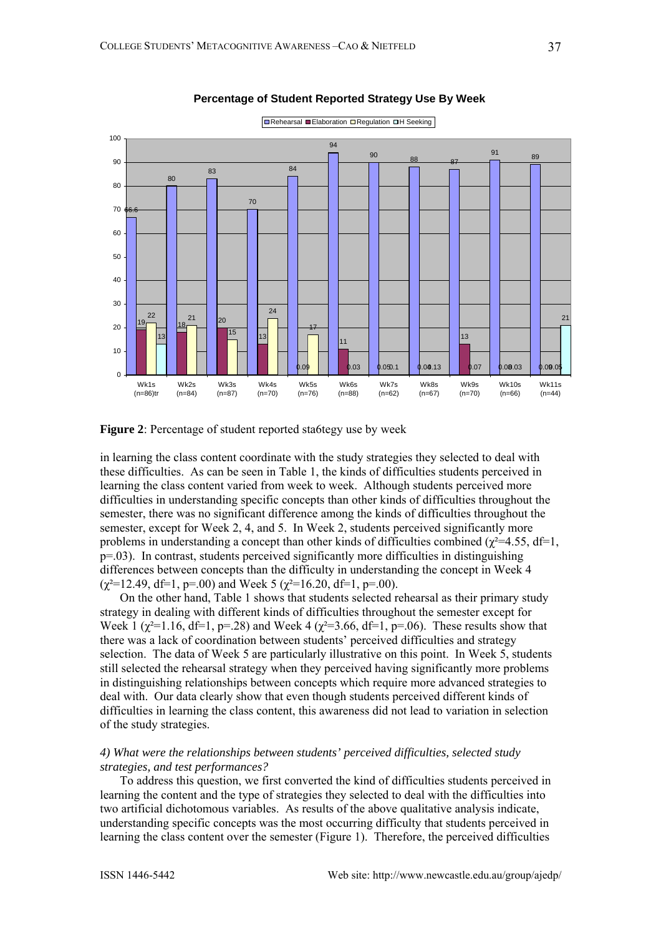

**Percentage of Student Reported Strategy Use By Week**

**Figure 2**: Percentage of student reported sta6tegy use by week

in learning the class content coordinate with the study strategies they selected to deal with these difficulties. As can be seen in Table 1, the kinds of difficulties students perceived in learning the class content varied from week to week. Although students perceived more difficulties in understanding specific concepts than other kinds of difficulties throughout the semester, there was no significant difference among the kinds of difficulties throughout the semester, except for Week 2, 4, and 5. In Week 2, students perceived significantly more problems in understanding a concept than other kinds of difficulties combined ( $\chi^2$ =4.55, df=1,  $p=03$ ). In contrast, students perceived significantly more difficulties in distinguishing differences between concepts than the difficulty in understanding the concept in Week 4  $(\gamma^2=12.49, df=1, p=.00)$  and Week 5 ( $\gamma^2=16.20, df=1, p=.00$ ).

On the other hand, Table 1 shows that students selected rehearsal as their primary study strategy in dealing with different kinds of difficulties throughout the semester except for Week 1 ( $\chi^2$ =1.16, df=1, p=.28) and Week 4 ( $\chi^2$ =3.66, df=1, p=.06). These results show that there was a lack of coordination between students' perceived difficulties and strategy selection. The data of Week 5 are particularly illustrative on this point. In Week 5, students still selected the rehearsal strategy when they perceived having significantly more problems in distinguishing relationships between concepts which require more advanced strategies to deal with. Our data clearly show that even though students perceived different kinds of difficulties in learning the class content, this awareness did not lead to variation in selection of the study strategies.

## *4) What were the relationships between students' perceived difficulties, selected study strategies, and test performances?*

To address this question, we first converted the kind of difficulties students perceived in learning the content and the type of strategies they selected to deal with the difficulties into two artificial dichotomous variables. As results of the above qualitative analysis indicate, understanding specific concepts was the most occurring difficulty that students perceived in learning the class content over the semester (Figure 1). Therefore, the perceived difficulties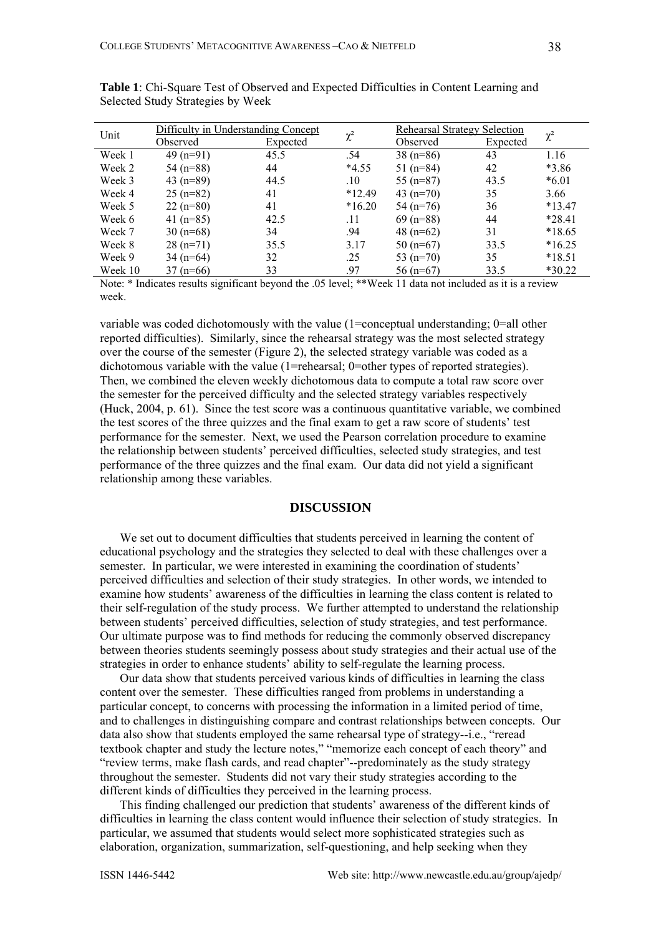| ٧<br>۰.<br>× |
|--------------|
|--------------|

|         | Difficulty in Understanding Concept |          |          | <b>Rehearsal Strategy Selection</b> |          |          |
|---------|-------------------------------------|----------|----------|-------------------------------------|----------|----------|
| Unit    | Observed                            | Expected | $\chi^2$ | Observed                            | Expected | $\chi^2$ |
| Week 1  | $49(n=91)$                          | 45.5     | .54      | $38(n=86)$                          | 43       | 1.16     |
| Week 2  | $54(n=88)$                          | 44       | $*4.55$  | 51 $(n=84)$                         | 42       | $*3.86$  |
| Week 3  | 43 $(n=89)$                         | 44.5     | .10      | 55 $(n=87)$                         | 43.5     | $*6.01$  |
| Week 4  | $25(n=82)$                          | 41       | $*12.49$ | 43 $(n=70)$                         | 35       | 3.66     |
| Week 5  | $22(n=80)$                          | 41       | $*16.20$ | $54(n=76)$                          | 36       | $*13.47$ |
| Week 6  | 41 $(n=85)$                         | 42.5     | .11      | $69$ (n=88)                         | 44       | $*28.41$ |
| Week 7  | $30(n=68)$                          | 34       | .94      | 48 $(n=62)$                         | 31       | $*18.65$ |
| Week 8  | $28(n=71)$                          | 35.5     | 3.17     | $50(n=67)$                          | 33.5     | $*16.25$ |
| Week 9  | $34(n=64)$                          | 32       | .25      | 53 $(n=70)$                         | 35       | $*18.51$ |
| Week 10 | $37(n=66)$                          | 33       | .97      | $56(n=67)$                          | 33.5     | $*30.22$ |

**Table 1**: Chi-Square Test of Observed and Expected Difficulties in Content Learning and Selected Study Strategies by Week

Note: \* Indicates results significant beyond the .05 level; \*\*Week 11 data not included as it is a review week.

variable was coded dichotomously with the value (1=conceptual understanding; 0=all other reported difficulties). Similarly, since the rehearsal strategy was the most selected strategy over the course of the semester (Figure 2), the selected strategy variable was coded as a dichotomous variable with the value (1=rehearsal; 0=other types of reported strategies). Then, we combined the eleven weekly dichotomous data to compute a total raw score over the semester for the perceived difficulty and the selected strategy variables respectively (Huck, 2004, p. 61). Since the test score was a continuous quantitative variable, we combined the test scores of the three quizzes and the final exam to get a raw score of students' test performance for the semester. Next, we used the Pearson correlation procedure to examine the relationship between students' perceived difficulties, selected study strategies, and test performance of the three quizzes and the final exam. Our data did not yield a significant relationship among these variables.

## **DISCUSSION**

We set out to document difficulties that students perceived in learning the content of educational psychology and the strategies they selected to deal with these challenges over a semester. In particular, we were interested in examining the coordination of students' perceived difficulties and selection of their study strategies. In other words, we intended to examine how students' awareness of the difficulties in learning the class content is related to their self-regulation of the study process. We further attempted to understand the relationship between students' perceived difficulties, selection of study strategies, and test performance. Our ultimate purpose was to find methods for reducing the commonly observed discrepancy between theories students seemingly possess about study strategies and their actual use of the strategies in order to enhance students' ability to self-regulate the learning process.

Our data show that students perceived various kinds of difficulties in learning the class content over the semester. These difficulties ranged from problems in understanding a particular concept, to concerns with processing the information in a limited period of time, and to challenges in distinguishing compare and contrast relationships between concepts. Our data also show that students employed the same rehearsal type of strategy--i.e., "reread textbook chapter and study the lecture notes," "memorize each concept of each theory" and "review terms, make flash cards, and read chapter"--predominately as the study strategy throughout the semester. Students did not vary their study strategies according to the different kinds of difficulties they perceived in the learning process.

This finding challenged our prediction that students' awareness of the different kinds of difficulties in learning the class content would influence their selection of study strategies. In particular, we assumed that students would select more sophisticated strategies such as elaboration, organization, summarization, self-questioning, and help seeking when they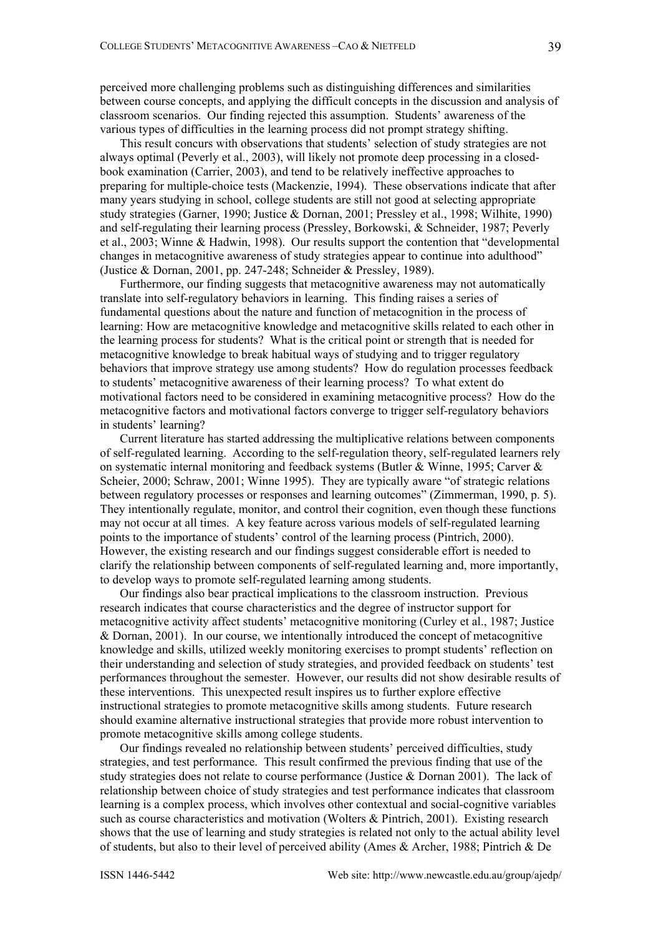perceived more challenging problems such as distinguishing differences and similarities between course concepts, and applying the difficult concepts in the discussion and analysis of classroom scenarios. Our finding rejected this assumption. Students' awareness of the various types of difficulties in the learning process did not prompt strategy shifting.

This result concurs with observations that students' selection of study strategies are not always optimal (Peverly et al., 2003), will likely not promote deep processing in a closedbook examination (Carrier, 2003), and tend to be relatively ineffective approaches to preparing for multiple-choice tests (Mackenzie, 1994). These observations indicate that after many years studying in school, college students are still not good at selecting appropriate study strategies (Garner, 1990; Justice & Dornan, 2001; Pressley et al., 1998; Wilhite, 1990) and self-regulating their learning process (Pressley, Borkowski, & Schneider, 1987; Peverly et al., 2003; Winne & Hadwin, 1998). Our results support the contention that "developmental changes in metacognitive awareness of study strategies appear to continue into adulthood" (Justice & Dornan, 2001, pp. 247-248; Schneider & Pressley, 1989).

Furthermore, our finding suggests that metacognitive awareness may not automatically translate into self-regulatory behaviors in learning. This finding raises a series of fundamental questions about the nature and function of metacognition in the process of learning: How are metacognitive knowledge and metacognitive skills related to each other in the learning process for students? What is the critical point or strength that is needed for metacognitive knowledge to break habitual ways of studying and to trigger regulatory behaviors that improve strategy use among students? How do regulation processes feedback to students' metacognitive awareness of their learning process? To what extent do motivational factors need to be considered in examining metacognitive process? How do the metacognitive factors and motivational factors converge to trigger self-regulatory behaviors in students' learning?

Current literature has started addressing the multiplicative relations between components of self-regulated learning. According to the self-regulation theory, self-regulated learners rely on systematic internal monitoring and feedback systems (Butler & Winne, 1995; Carver & Scheier, 2000; Schraw, 2001; Winne 1995). They are typically aware "of strategic relations between regulatory processes or responses and learning outcomes" (Zimmerman, 1990, p. 5). They intentionally regulate, monitor, and control their cognition, even though these functions may not occur at all times. A key feature across various models of self-regulated learning points to the importance of students' control of the learning process (Pintrich, 2000). However, the existing research and our findings suggest considerable effort is needed to clarify the relationship between components of self-regulated learning and, more importantly, to develop ways to promote self-regulated learning among students.

Our findings also bear practical implications to the classroom instruction. Previous research indicates that course characteristics and the degree of instructor support for metacognitive activity affect students' metacognitive monitoring (Curley et al., 1987; Justice & Dornan, 2001). In our course, we intentionally introduced the concept of metacognitive knowledge and skills, utilized weekly monitoring exercises to prompt students' reflection on their understanding and selection of study strategies, and provided feedback on students' test performances throughout the semester. However, our results did not show desirable results of these interventions. This unexpected result inspires us to further explore effective instructional strategies to promote metacognitive skills among students. Future research should examine alternative instructional strategies that provide more robust intervention to promote metacognitive skills among college students.

Our findings revealed no relationship between students' perceived difficulties, study strategies, and test performance. This result confirmed the previous finding that use of the study strategies does not relate to course performance (Justice & Dornan 2001). The lack of relationship between choice of study strategies and test performance indicates that classroom learning is a complex process, which involves other contextual and social-cognitive variables such as course characteristics and motivation (Wolters & Pintrich, 2001). Existing research shows that the use of learning and study strategies is related not only to the actual ability level of students, but also to their level of perceived ability (Ames & Archer, 1988; Pintrich & De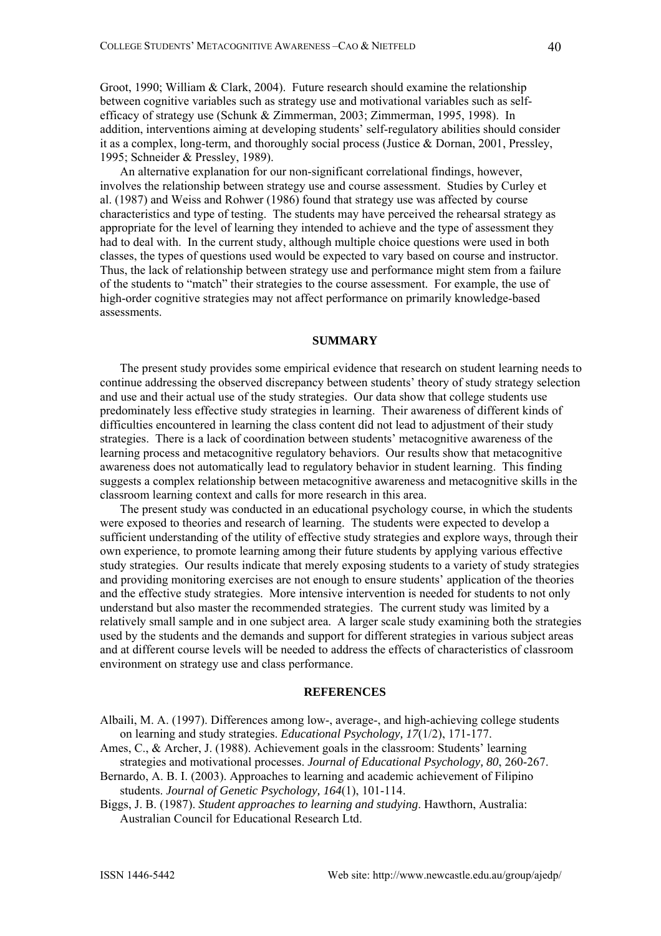Groot, 1990; William & Clark, 2004). Future research should examine the relationship between cognitive variables such as strategy use and motivational variables such as selfefficacy of strategy use (Schunk & Zimmerman, 2003; Zimmerman, 1995, 1998). In addition, interventions aiming at developing students' self-regulatory abilities should consider it as a complex, long-term, and thoroughly social process (Justice & Dornan, 2001, Pressley, 1995; Schneider & Pressley, 1989).

An alternative explanation for our non-significant correlational findings, however, involves the relationship between strategy use and course assessment. Studies by Curley et al. (1987) and Weiss and Rohwer (1986) found that strategy use was affected by course characteristics and type of testing. The students may have perceived the rehearsal strategy as appropriate for the level of learning they intended to achieve and the type of assessment they had to deal with. In the current study, although multiple choice questions were used in both classes, the types of questions used would be expected to vary based on course and instructor. Thus, the lack of relationship between strategy use and performance might stem from a failure of the students to "match" their strategies to the course assessment. For example, the use of high-order cognitive strategies may not affect performance on primarily knowledge-based assessments.

### **SUMMARY**

The present study provides some empirical evidence that research on student learning needs to continue addressing the observed discrepancy between students' theory of study strategy selection and use and their actual use of the study strategies. Our data show that college students use predominately less effective study strategies in learning. Their awareness of different kinds of difficulties encountered in learning the class content did not lead to adjustment of their study strategies. There is a lack of coordination between students' metacognitive awareness of the learning process and metacognitive regulatory behaviors. Our results show that metacognitive awareness does not automatically lead to regulatory behavior in student learning. This finding suggests a complex relationship between metacognitive awareness and metacognitive skills in the classroom learning context and calls for more research in this area.

The present study was conducted in an educational psychology course, in which the students were exposed to theories and research of learning. The students were expected to develop a sufficient understanding of the utility of effective study strategies and explore ways, through their own experience, to promote learning among their future students by applying various effective study strategies. Our results indicate that merely exposing students to a variety of study strategies and providing monitoring exercises are not enough to ensure students' application of the theories and the effective study strategies. More intensive intervention is needed for students to not only understand but also master the recommended strategies. The current study was limited by a relatively small sample and in one subject area. A larger scale study examining both the strategies used by the students and the demands and support for different strategies in various subject areas and at different course levels will be needed to address the effects of characteristics of classroom environment on strategy use and class performance.

#### **REFERENCES**

Albaili, M. A. (1997). Differences among low-, average-, and high-achieving college students on learning and study strategies. *Educational Psychology, 17*(1/2), 171-177.

Ames, C., & Archer, J. (1988). Achievement goals in the classroom: Students' learning strategies and motivational processes. *Journal of Educational Psychology, 80*, 260-267.

Bernardo, A. B. I. (2003). Approaches to learning and academic achievement of Filipino students. *Journal of Genetic Psychology, 164*(1), 101-114.

Biggs, J. B. (1987). *Student approaches to learning and studying*. Hawthorn, Australia: Australian Council for Educational Research Ltd.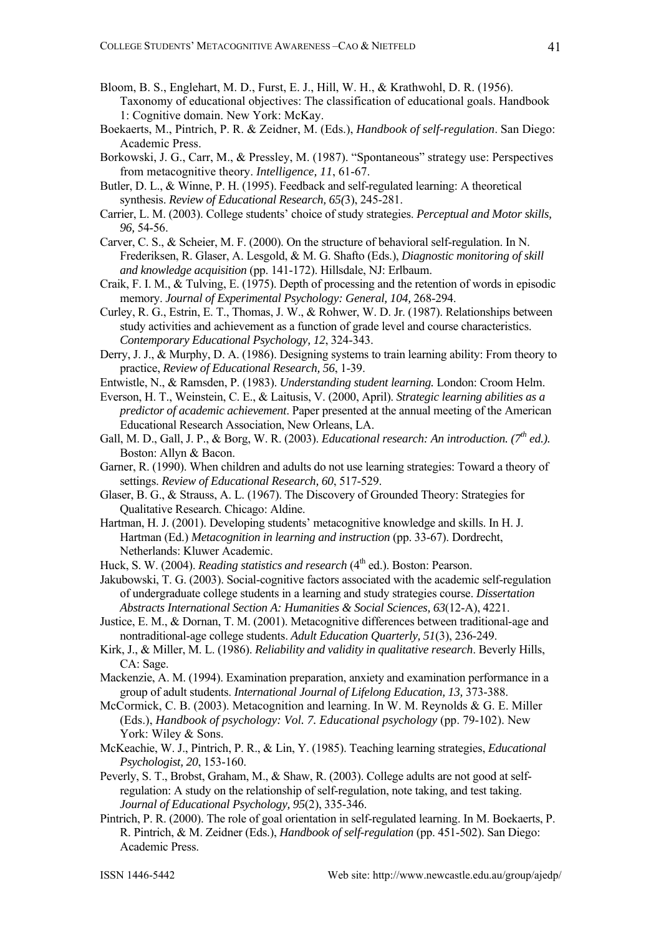- Bloom, B. S., Englehart, M. D., Furst, E. J., Hill, W. H., & Krathwohl, D. R. (1956). Taxonomy of educational objectives: The classification of educational goals. Handbook 1: Cognitive domain. New York: McKay.
- Boekaerts, M., Pintrich, P. R. & Zeidner, M. (Eds.), *Handbook of self-regulation*. San Diego: Academic Press.
- Borkowski, J. G., Carr, M., & Pressley, M. (1987). "Spontaneous" strategy use: Perspectives from metacognitive theory. *Intelligence, 11*, 61-67.
- Butler, D. L., & Winne, P. H. (1995). Feedback and self-regulated learning: A theoretical synthesis. *Review of Educational Research, 65(*3), 245-281.
- Carrier, L. M. (2003). College students' choice of study strategies. *Perceptual and Motor skills, 96,* 54-56.
- Carver, C. S., & Scheier, M. F. (2000). On the structure of behavioral self-regulation. In N. Frederiksen, R. Glaser, A. Lesgold, & M. G. Shafto (Eds.), *Diagnostic monitoring of skill and knowledge acquisition* (pp. 141-172). Hillsdale, NJ: Erlbaum.
- Craik, F. I. M., & Tulving, E. (1975). Depth of processing and the retention of words in episodic memory. *Journal of Experimental Psychology: General, 104,* 268-294.
- Curley, R. G., Estrin, E. T., Thomas, J. W., & Rohwer, W. D. Jr. (1987). Relationships between study activities and achievement as a function of grade level and course characteristics. *Contemporary Educational Psychology, 12*, 324-343.
- Derry, J. J., & Murphy, D. A. (1986). Designing systems to train learning ability: From theory to practice, *Review of Educational Research, 56*, 1-39.
- Entwistle, N., & Ramsden, P. (1983). *Understanding student learning.* London: Croom Helm.
- Everson, H. T., Weinstein, C. E., & Laitusis, V. (2000, April). *Strategic learning abilities as a predictor of academic achievement*. Paper presented at the annual meeting of the American Educational Research Association, New Orleans, LA.
- Gall, M. D., Gall, J. P., & Borg, W. R. (2003). *Educational research: An introduction.* (7<sup>th</sup> ed.). Boston: Allyn & Bacon.
- Garner, R. (1990). When children and adults do not use learning strategies: Toward a theory of settings. *Review of Educational Research, 60*, 517-529.
- Glaser, B. G., & Strauss, A. L. (1967). The Discovery of Grounded Theory: Strategies for Qualitative Research. Chicago: Aldine.
- Hartman, H. J. (2001). Developing students' metacognitive knowledge and skills. In H. J. Hartman (Ed.) *Metacognition in learning and instruction* (pp. 33-67). Dordrecht, Netherlands: Kluwer Academic.
- Huck, S. W. (2004). *Reading statistics and research* (4<sup>th</sup> ed.). Boston: Pearson.
- Jakubowski, T. G. (2003). Social-cognitive factors associated with the academic self-regulation of undergraduate college students in a learning and study strategies course. *Dissertation Abstracts International Section A: Humanities & Social Sciences, 63*(12-A), 4221.
- Justice, E. M., & Dornan, T. M. (2001). Metacognitive differences between traditional-age and nontraditional-age college students. *Adult Education Quarterly, 51*(3), 236-249.
- Kirk, J., & Miller, M. L. (1986). *Reliability and validity in qualitative research*. Beverly Hills, CA: Sage.
- Mackenzie, A. M. (1994). Examination preparation, anxiety and examination performance in a group of adult students. *International Journal of Lifelong Education, 13,* 373-388.
- McCormick, C. B. (2003). Metacognition and learning. In W. M. Reynolds & G. E. Miller (Eds.), *Handbook of psychology: Vol. 7. Educational psychology* (pp. 79-102). New York: Wiley & Sons.
- McKeachie, W. J., Pintrich, P. R., & Lin, Y. (1985). Teaching learning strategies, *Educational Psychologist, 20*, 153-160.
- Peverly, S. T., Brobst, Graham, M., & Shaw, R. (2003). College adults are not good at selfregulation: A study on the relationship of self-regulation, note taking, and test taking. *Journal of Educational Psychology, 95*(2), 335-346.
- Pintrich, P. R. (2000). The role of goal orientation in self-regulated learning. In M. Boekaerts, P. R. Pintrich, & M. Zeidner (Eds.), *Handbook of self-regulation* (pp. 451-502). San Diego: Academic Press.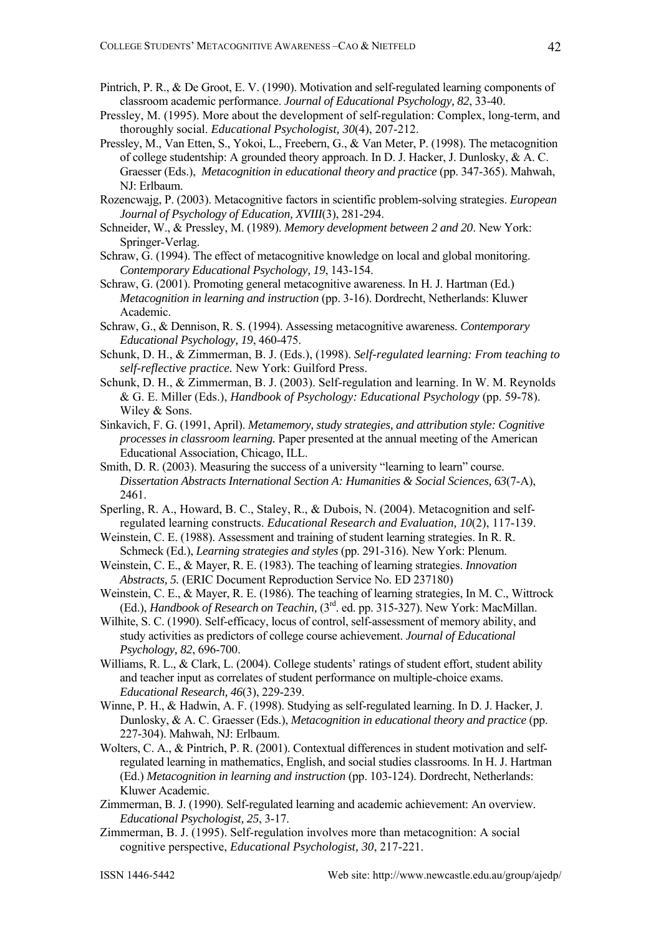- Pintrich, P. R., & De Groot, E. V. (1990). Motivation and self-regulated learning components of classroom academic performance. *Journal of Educational Psychology, 82*, 33-40.
- Pressley, M. (1995). More about the development of self-regulation: Complex, long-term, and thoroughly social. *Educational Psychologist, 30*(4), 207-212.
- Pressley, M., Van Etten, S., Yokoi, L., Freebern, G., & Van Meter, P. (1998). The metacognition of college studentship: A grounded theory approach. In D. J. Hacker, J. Dunlosky, & A. C. Graesser (Eds.), *Metacognition in educational theory and practice* (pp. 347-365). Mahwah, NJ: Erlbaum.
- Rozencwajg, P. (2003). Metacognitive factors in scientific problem-solving strategies. *European Journal of Psychology of Education, XVIII*(3), 281-294.
- Schneider, W., & Pressley, M. (1989). *Memory development between 2 and 20*. New York: Springer-Verlag.
- Schraw, G. (1994). The effect of metacognitive knowledge on local and global monitoring. *Contemporary Educational Psychology, 19*, 143-154.
- Schraw, G. (2001). Promoting general metacognitive awareness. In H. J. Hartman (Ed.) *Metacognition in learning and instruction* (pp. 3-16). Dordrecht, Netherlands: Kluwer Academic.
- Schraw, G., & Dennison, R. S. (1994). Assessing metacognitive awareness. *Contemporary Educational Psychology, 19*, 460-475.
- Schunk, D. H., & Zimmerman, B. J. (Eds.), (1998). *Self-regulated learning: From teaching to self-reflective practice.* New York: Guilford Press.
- Schunk, D. H., & Zimmerman, B. J. (2003). Self-regulation and learning. In W. M. Reynolds & G. E. Miller (Eds.), *Handbook of Psychology: Educational Psychology* (pp. 59-78). Wiley & Sons.
- Sinkavich, F. G. (1991, April). *Metamemory, study strategies, and attribution style: Cognitive processes in classroom learning.* Paper presented at the annual meeting of the American Educational Association, Chicago, ILL.
- Smith, D. R. (2003). Measuring the success of a university "learning to learn" course. *Dissertation Abstracts International Section A: Humanities & Social Sciences, 63*(7-A), 2461.
- Sperling, R. A., Howard, B. C., Staley, R., & Dubois, N. (2004). Metacognition and selfregulated learning constructs. *Educational Research and Evaluation, 10*(2), 117-139.
- Weinstein, C. E. (1988). Assessment and training of student learning strategies. In R. R. Schmeck (Ed.), *Learning strategies and styles* (pp. 291-316). New York: Plenum.
- Weinstein, C. E., & Mayer, R. E. (1983). The teaching of learning strategies. *Innovation Abstracts, 5.* (ERIC Document Reproduction Service No. ED 237180)
- Weinstein, C. E., & Mayer, R. E. (1986). The teaching of learning strategies, In M. C., Wittrock (Ed.), *Handbook of Research on Teachin,* (3rd. ed. pp. 315-327). New York: MacMillan.
- Wilhite, S. C. (1990). Self-efficacy, locus of control, self-assessment of memory ability, and study activities as predictors of college course achievement. *Journal of Educational Psychology, 82*, 696-700.
- Williams, R. L., & Clark, L. (2004). College students' ratings of student effort, student ability and teacher input as correlates of student performance on multiple-choice exams. *Educational Research, 46*(3), 229-239.
- Winne, P. H., & Hadwin, A. F. (1998). Studying as self-regulated learning. In D. J. Hacker, J. Dunlosky, & A. C. Graesser (Eds.), *Metacognition in educational theory and practice* (pp. 227-304). Mahwah, NJ: Erlbaum.
- Wolters, C. A., & Pintrich, P. R. (2001). Contextual differences in student motivation and selfregulated learning in mathematics, English, and social studies classrooms. In H. J. Hartman (Ed.) *Metacognition in learning and instruction* (pp. 103-124). Dordrecht, Netherlands: Kluwer Academic.
- Zimmerman, B. J. (1990). Self-regulated learning and academic achievement: An overview. *Educational Psychologist, 25*, 3-17.
- Zimmerman, B. J. (1995). Self-regulation involves more than metacognition: A social cognitive perspective, *Educational Psychologist, 30*, 217-221.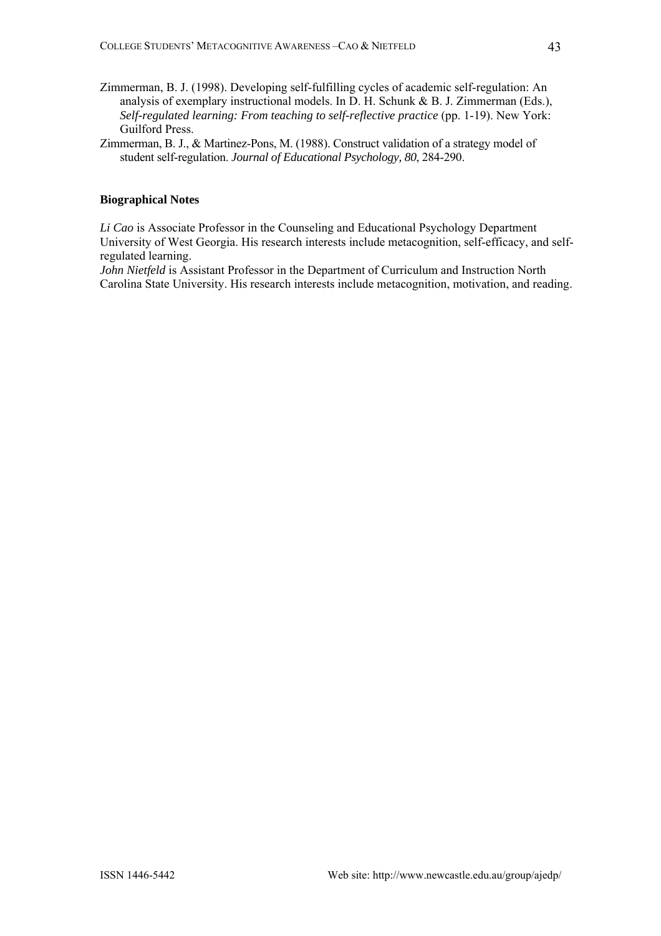- Zimmerman, B. J. (1998). Developing self-fulfilling cycles of academic self-regulation: An analysis of exemplary instructional models. In D. H. Schunk & B. J. Zimmerman (Eds.), *Self-regulated learning: From teaching to self-reflective practice (pp. 1-19). New York:* Guilford Press.
- Zimmerman, B. J., & Martinez-Pons, M. (1988). Construct validation of a strategy model of student self-regulation. *Journal of Educational Psychology, 80*, 284-290.

### **Biographical Notes**

*Li Cao* is Associate Professor in the Counseling and Educational Psychology Department University of West Georgia. His research interests include metacognition, self-efficacy, and selfregulated learning.

*John Nietfeld* is Assistant Professor in the Department of Curriculum and Instruction North Carolina State University. His research interests include metacognition, motivation, and reading.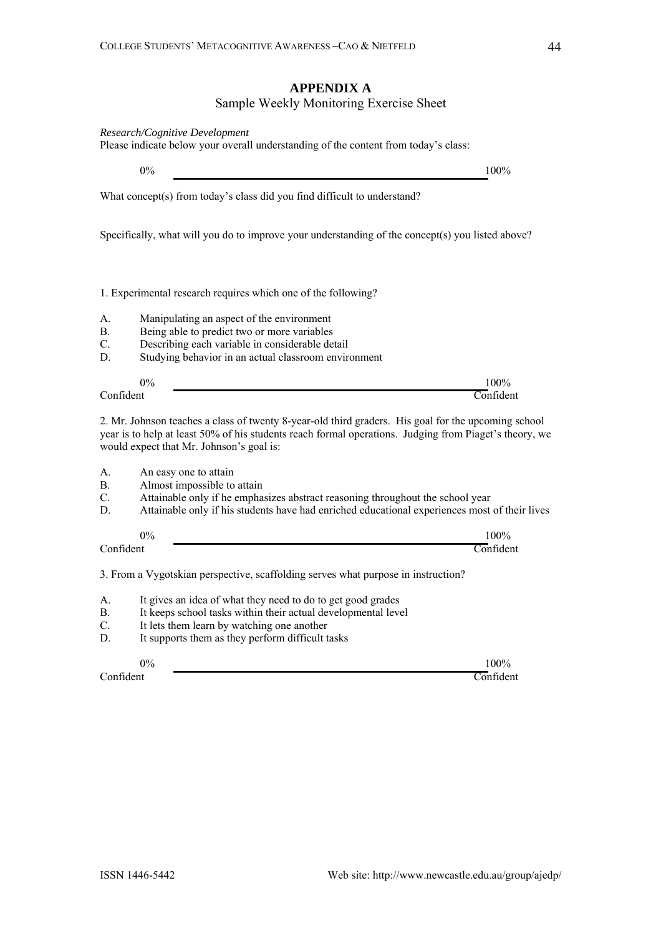# **APPENDIX A** Sample Weekly Monitoring Exercise Sheet

| Research/Cognitive Development<br>Please indicate below your overall understanding of the content from today's class: |                                                                                                                                                                                                                                                           |                                  |
|-----------------------------------------------------------------------------------------------------------------------|-----------------------------------------------------------------------------------------------------------------------------------------------------------------------------------------------------------------------------------------------------------|----------------------------------|
|                                                                                                                       | $0\%$                                                                                                                                                                                                                                                     | 100%                             |
|                                                                                                                       | What concept(s) from today's class did you find difficult to understand?                                                                                                                                                                                  |                                  |
|                                                                                                                       | Specifically, what will you do to improve your understanding of the concept(s) you listed above?                                                                                                                                                          |                                  |
|                                                                                                                       | 1. Experimental research requires which one of the following?                                                                                                                                                                                             |                                  |
| А.<br>В.<br>C.<br>D.                                                                                                  | Manipulating an aspect of the environment<br>Being able to predict two or more variables<br>Describing each variable in considerable detail<br>Studying behavior in an actual classroom environment                                                       |                                  |
| Confident                                                                                                             | 0%                                                                                                                                                                                                                                                        | 100%<br>$\overline{\text{Conf}}$ |
|                                                                                                                       | 2. Mr. Johnson teaches a class of twenty 8-year-old third graders. His goal for the upcoming school<br>year is to help at least 50% of his students reach formal operations. Judging from Piaget's theory, we<br>would expect that Mr. Johnson's goal is: |                                  |
| A.<br>В.<br>C.<br>D.                                                                                                  | An easy one to attain<br>Almost impossible to attain<br>Attainable only if he emphasizes abstract reasoning throughout the school year<br>Attainable only if his students have had enriched educational experiences most of their lives                   |                                  |
| Confident                                                                                                             | 0%                                                                                                                                                                                                                                                        | 100%<br>$\overline{\text{Conf}}$ |
|                                                                                                                       | 3. From a Vygotskian perspective, scaffolding serves what purpose in instruction?                                                                                                                                                                         |                                  |
| А.<br>В.<br>C.<br>D.                                                                                                  | It gives an idea of what they need to do to get good grades<br>It keeps school tasks within their actual developmental level<br>It lets them learn by watching one another<br>It supports them as they perform difficult tasks                            |                                  |
| Confident                                                                                                             | $0\%$                                                                                                                                                                                                                                                     | 100%<br>Confident                |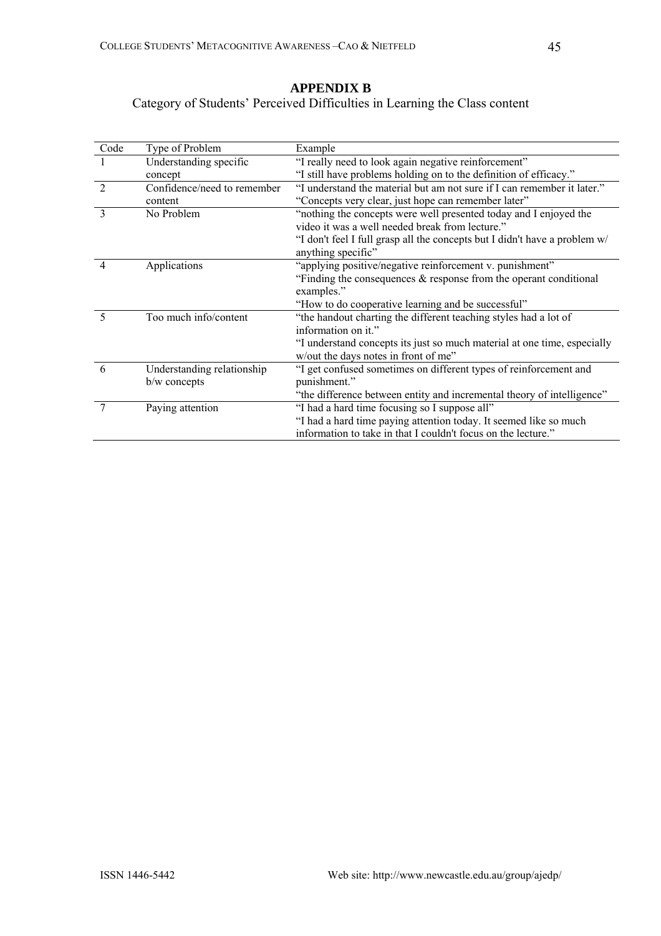# **APPENDIX B** Category of Students' Perceived Difficulties in Learning the Class content

| Code                        | Type of Problem             | Example                                                                    |
|-----------------------------|-----------------------------|----------------------------------------------------------------------------|
|                             | Understanding specific      | "I really need to look again negative reinforcement"                       |
|                             | concept                     | "I still have problems holding on to the definition of efficacy."          |
| $\mathcal{D}_{\mathcal{A}}$ | Confidence/need to remember | "I understand the material but am not sure if I can remember it later."    |
|                             | content                     | "Concepts very clear, just hope can remember later"                        |
| $\mathcal{E}$               | No Problem                  | "nothing the concepts were well presented today and I enjoyed the          |
|                             |                             | video it was a well needed break from lecture."                            |
|                             |                             | "I don't feel I full grasp all the concepts but I didn't have a problem w/ |
|                             |                             | anything specific"                                                         |
| 4                           | Applications                | "applying positive/negative reinforcement v. punishment"                   |
|                             |                             | "Finding the consequences $\&$ response from the operant conditional       |
|                             |                             | examples."                                                                 |
|                             |                             | "How to do cooperative learning and be successful"                         |
| $\sim$                      | Too much info/content       | "the handout charting the different teaching styles had a lot of           |
|                             |                             | information on it."                                                        |
|                             |                             | "I understand concepts its just so much material at one time, especially   |
|                             |                             | w/out the days notes in front of me"                                       |
| 6                           | Understanding relationship  | "I get confused sometimes on different types of reinforcement and          |
|                             | b/w concepts                | punishment."                                                               |
|                             |                             | "the difference between entity and incremental theory of intelligence"     |
|                             | Paying attention            | "I had a hard time focusing so I suppose all"                              |
|                             |                             | "I had a hard time paying attention today. It seemed like so much          |
|                             |                             | information to take in that I couldn't focus on the lecture."              |